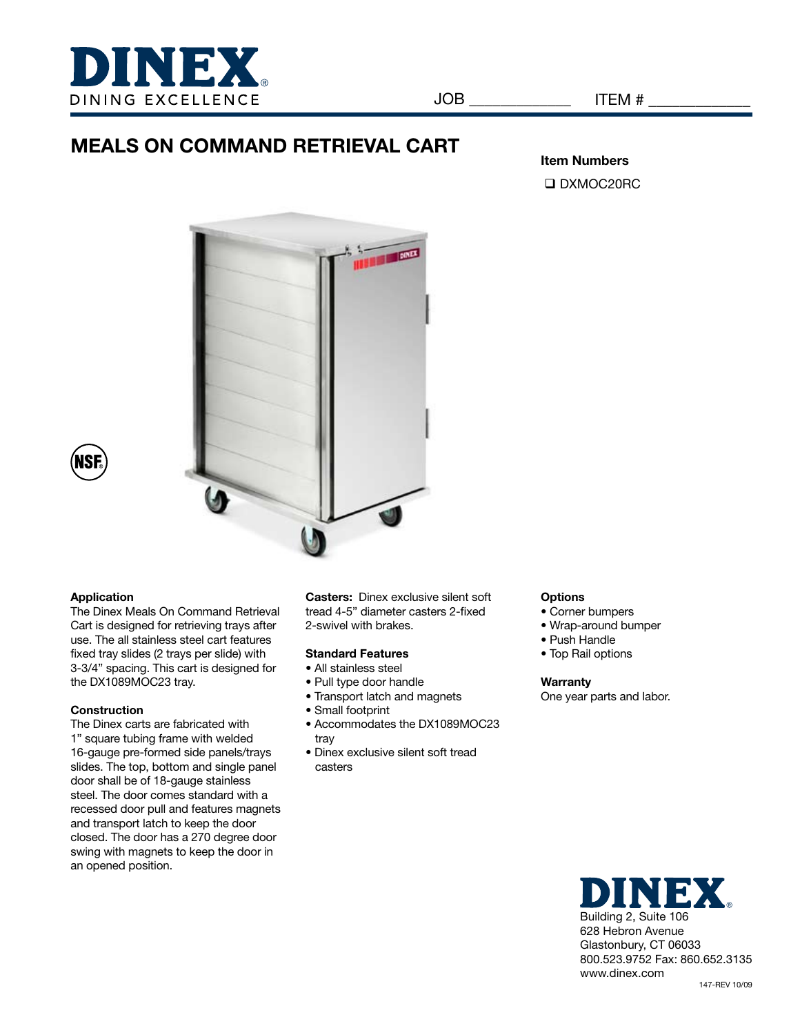

# **MEALS ON COMMAND RETRIEVAL CART**

## **Item Numbers** □ DXMOC20RC





## **Application**

The Dinex Meals On Command Retrieval Cart is designed for retrieving trays after use. The all stainless steel cart features fixed tray slides (2 trays per slide) with 3-3/4" spacing. This cart is designed for the DX1089MOC23 tray.

## **Construction**

The Dinex carts are fabricated with 1" square tubing frame with welded 16-gauge pre-formed side panels/trays slides. The top, bottom and single panel door shall be of 18-gauge stainless steel. The door comes standard with a recessed door pull and features magnets and transport latch to keep the door closed. The door has a 270 degree door swing with magnets to keep the door in an opened position.

**Casters:** Dinex exclusive silent soft tread 4-5" diameter casters 2-fixed 2-swivel with brakes.

## **Standard Features**

- All stainless steel
- Pull type door handle
- Transport latch and magnets
- Small footprint
- Accommodates the DX1089MOC23 tray
- Dinex exclusive silent soft tread casters

#### **Options**

- Corner bumpers
- Wrap-around bumper
- Push Handle
- Top Rail options

#### **Warranty**

One year parts and labor.